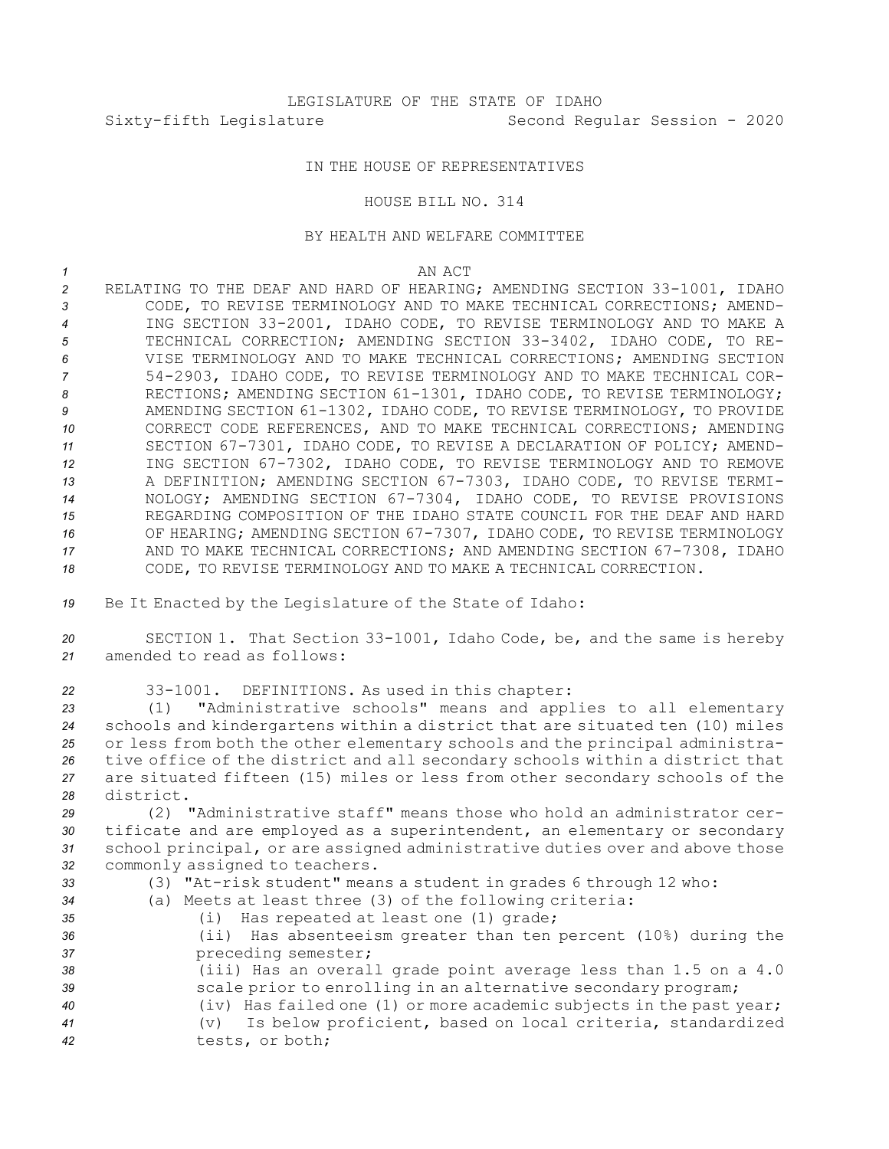## IN THE HOUSE OF REPRESENTATIVES

## HOUSE BILL NO. 314

## BY HEALTH AND WELFARE COMMITTEE

## *1* AN ACT

 RELATING TO THE DEAF AND HARD OF HEARING; AMENDING SECTION 33-1001, IDAHO CODE, TO REVISE TERMINOLOGY AND TO MAKE TECHNICAL CORRECTIONS; AMEND- ING SECTION 33-2001, IDAHO CODE, TO REVISE TERMINOLOGY AND TO MAKE A TECHNICAL CORRECTION; AMENDING SECTION 33-3402, IDAHO CODE, TO RE- VISE TERMINOLOGY AND TO MAKE TECHNICAL CORRECTIONS; AMENDING SECTION 54-2903, IDAHO CODE, TO REVISE TERMINOLOGY AND TO MAKE TECHNICAL COR-8 RECTIONS; AMENDING SECTION 61-1301, IDAHO CODE, TO REVISE TERMINOLOGY; AMENDING SECTION 61-1302, IDAHO CODE, TO REVISE TERMINOLOGY, TO PROVIDE CORRECT CODE REFERENCES, AND TO MAKE TECHNICAL CORRECTIONS; AMENDING SECTION 67-7301, IDAHO CODE, TO REVISE A DECLARATION OF POLICY; AMEND- ING SECTION 67-7302, IDAHO CODE, TO REVISE TERMINOLOGY AND TO REMOVE A DEFINITION; AMENDING SECTION 67-7303, IDAHO CODE, TO REVISE TERMI- NOLOGY; AMENDING SECTION 67-7304, IDAHO CODE, TO REVISE PROVISIONS REGARDING COMPOSITION OF THE IDAHO STATE COUNCIL FOR THE DEAF AND HARD OF HEARING; AMENDING SECTION 67-7307, IDAHO CODE, TO REVISE TERMINOLOGY AND TO MAKE TECHNICAL CORRECTIONS; AND AMENDING SECTION 67-7308, IDAHO CODE, TO REVISE TERMINOLOGY AND TO MAKE A TECHNICAL CORRECTION.

*<sup>19</sup>* Be It Enacted by the Legislature of the State of Idaho:

*<sup>20</sup>* SECTION 1. That Section 33-1001, Idaho Code, be, and the same is hereby *21* amended to read as follows:

*<sup>22</sup>* 33-1001. DEFINITIONS. As used in this chapter:

 (1) "Administrative schools" means and applies to all elementary schools and kindergartens within <sup>a</sup> district that are situated ten (10) miles or less from both the other elementary schools and the principal administra- tive office of the district and all secondary schools within <sup>a</sup> district that are situated fifteen (15) miles or less from other secondary schools of the district.

 (2) "Administrative staff" means those who hold an administrator cer- tificate and are employed as <sup>a</sup> superintendent, an elementary or secondary school principal, or are assigned administrative duties over and above those commonly assigned to teachers.

- 
- *<sup>33</sup>* (3) "At-risk student" means <sup>a</sup> student in grades 6 through 12 who:
- *<sup>34</sup>* (a) Meets at least three (3) of the following criteria:
- *<sup>35</sup>* (i) Has repeated at least one (1) grade; *<sup>36</sup>* (ii) Has absenteeism greater than ten percent (10%) during the *<sup>37</sup>* preceding semester; *<sup>38</sup>* (iii) Has an overall grade point average less than 1.5 on <sup>a</sup> 4.0 39 **Same Seau Example 30** scale prior to enrolling in an alternative secondary program; *<sup>40</sup>* (iv) Has failed one (1) or more academic subjects in the past year; *<sup>41</sup>* (v) Is below proficient, based on local criteria, standardized
- *<sup>42</sup>* tests, or both;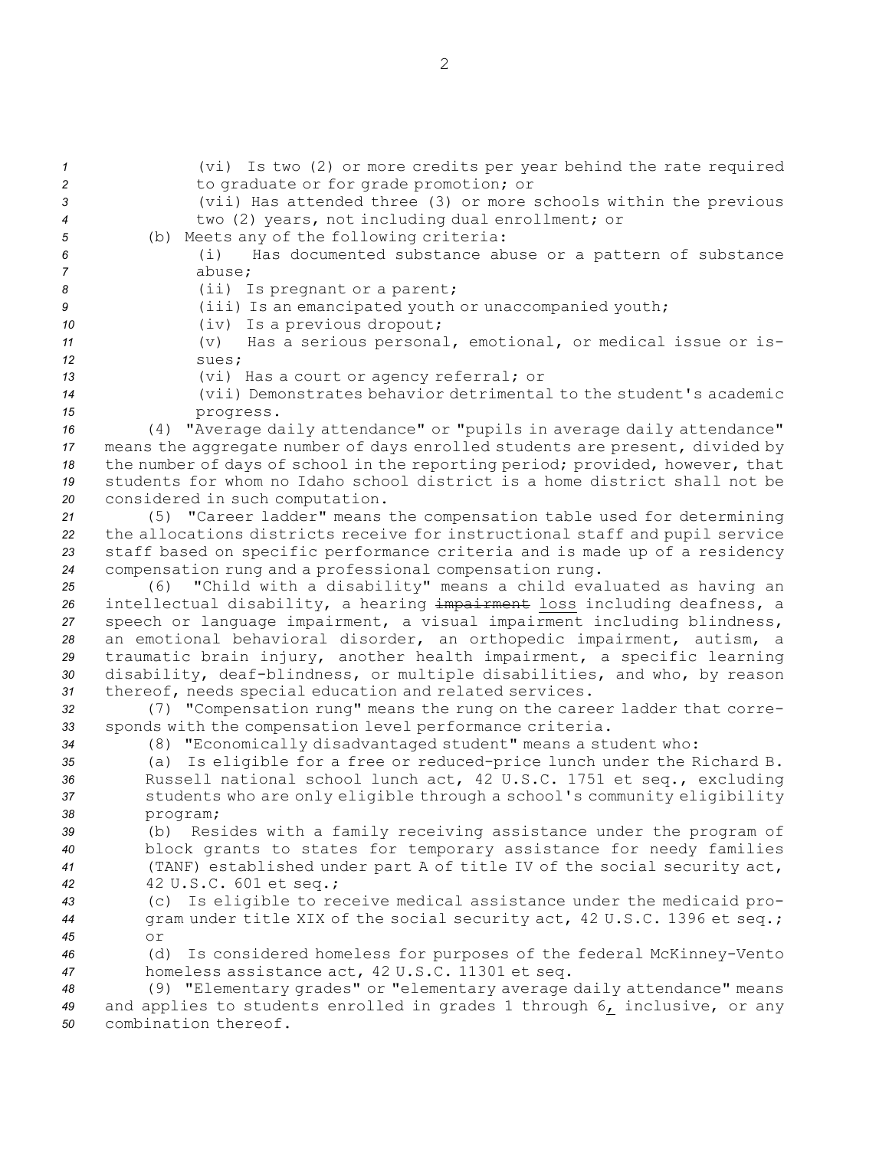| $\boldsymbol{\mathcal{1}}$ | (vi) Is two (2) or more credits per year behind the rate required             |
|----------------------------|-------------------------------------------------------------------------------|
| $\overline{c}$             | to graduate or for grade promotion; or                                        |
| 3                          | (vii) Has attended three (3) or more schools within the previous              |
| $\boldsymbol{4}$           | two (2) years, not including dual enrollment; or                              |
| $\sqrt{5}$                 | (b) Meets any of the following criteria:                                      |
| 6                          | Has documented substance abuse or a pattern of substance<br>(i)               |
| $\overline{7}$             | abuse;                                                                        |
| 8                          | (ii) Is pregnant or a parent;                                                 |
| 9                          | (iii) Is an emancipated youth or unaccompanied youth;                         |
| 10                         | (iv) Is a previous dropout;                                                   |
| 11                         | (v) Has a serious personal, emotional, or medical issue or is-                |
| 12                         | sues;                                                                         |
| 13                         | (vi) Has a court or agency referral; or                                       |
| 14                         | (vii) Demonstrates behavior detrimental to the student's academic             |
| 15                         | progress.                                                                     |
| 16                         | (4) "Average daily attendance" or "pupils in average daily attendance"        |
| 17                         | means the aggregate number of days enrolled students are present, divided by  |
| 18                         | the number of days of school in the reporting period; provided, however, that |
| 19                         | students for whom no Idaho school district is a home district shall not be    |
| 20                         | considered in such computation.                                               |
| 21                         | (5) "Career ladder" means the compensation table used for determining         |
| 22                         | the allocations districts receive for instructional staff and pupil service   |
| 23                         | staff based on specific performance criteria and is made up of a residency    |
| 24                         | compensation rung and a professional compensation rung.                       |
| 25                         | (6) "Child with a disability" means a child evaluated as having an            |
| 26                         | intellectual disability, a hearing impairment loss including deafness, a      |
| 27                         | speech or language impairment, a visual impairment including blindness,       |
| 28                         | an emotional behavioral disorder, an orthopedic impairment, autism, a         |
| 29                         | traumatic brain injury, another health impairment, a specific learning        |
| 30                         | disability, deaf-blindness, or multiple disabilities, and who, by reason      |
| 31                         | thereof, needs special education and related services.                        |
| 32                         | (7) "Compensation rung" means the rung on the career ladder that corre-       |
| 33                         | sponds with the compensation level performance criteria.                      |
| 34                         | (8) "Economically disadvantaged student" means a student who:                 |
| 35                         | (a) Is eligible for a free or reduced-price lunch under the Richard B.        |
| 36                         | Russell national school lunch act, 42 U.S.C. 1751 et seq., excluding          |
| 37                         | students who are only eligible through a school's community eligibility       |
| 38                         | program;                                                                      |
| 39                         | (b) Resides with a family receiving assistance under the program of           |
| 40                         | block grants to states for temporary assistance for needy families            |
| 41                         | (TANF) established under part A of title IV of the social security act,       |
| 42                         | 42 U.S.C. 601 et seq.;                                                        |
| 43                         | Is eligible to receive medical assistance under the medicaid pro-<br>(C)      |
| 44                         | gram under title XIX of the social security act, 42 U.S.C. 1396 et seq.;      |
| 45                         | or                                                                            |
| 46                         | Is considered homeless for purposes of the federal McKinney-Vento<br>(d)      |
| 47                         | homeless assistance act, 42 U.S.C. 11301 et seq.                              |
| 48                         | (9) "Elementary grades" or "elementary average daily attendance" means        |
| 49                         | and applies to students enrolled in grades 1 through 6, inclusive, or any     |
| 50                         | combination thereof.                                                          |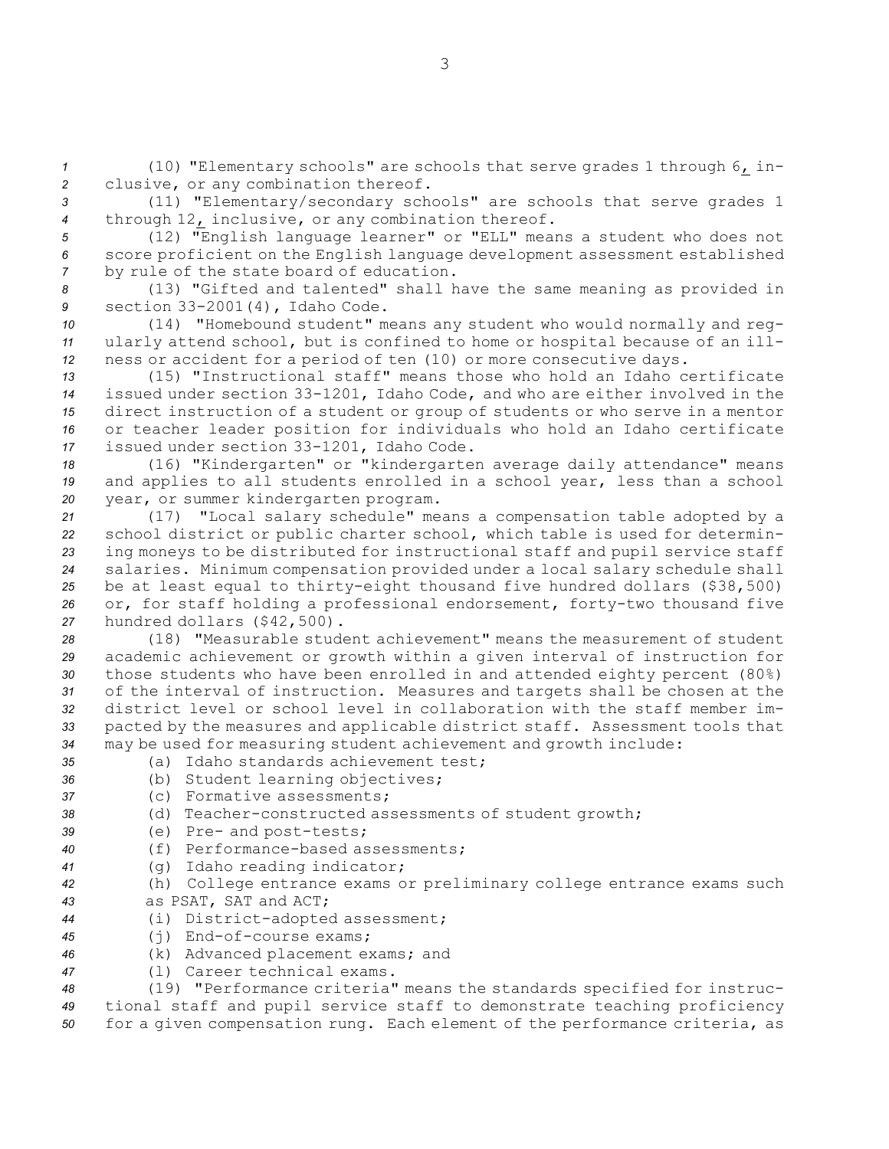*<sup>1</sup>* (10) "Elementary schools" are schools that serve grades 1 through 6, in-*<sup>2</sup>* clusive, or any combination thereof.

*<sup>3</sup>* (11) "Elementary/secondary schools" are schools that serve grades 1 *<sup>4</sup>* through 12, inclusive, or any combination thereof.

*<sup>5</sup>* (12) "English language learner" or "ELL" means <sup>a</sup> student who does not *<sup>6</sup>* score proficient on the English language development assessment established *<sup>7</sup>* by rule of the state board of education.

*<sup>8</sup>* (13) "Gifted and talented" shall have the same meaning as provided in *<sup>9</sup>* section 33-2001(4), Idaho Code.

*<sup>10</sup>* (14) "Homebound student" means any student who would normally and reg-*<sup>11</sup>* ularly attend school, but is confined to home or hospital because of an ill-*<sup>12</sup>* ness or accident for <sup>a</sup> period of ten (10) or more consecutive days.

 (15) "Instructional staff" means those who hold an Idaho certificate issued under section 33-1201, Idaho Code, and who are either involved in the direct instruction of <sup>a</sup> student or group of students or who serve in <sup>a</sup> mentor or teacher leader position for individuals who hold an Idaho certificate issued under section 33-1201, Idaho Code.

*<sup>18</sup>* (16) "Kindergarten" or "kindergarten average daily attendance" means *<sup>19</sup>* and applies to all students enrolled in <sup>a</sup> school year, less than <sup>a</sup> school *<sup>20</sup>* year, or summer kindergarten program.

 (17) "Local salary schedule" means <sup>a</sup> compensation table adopted by <sup>a</sup> school district or public charter school, which table is used for determin- ing moneys to be distributed for instructional staff and pupil service staff salaries. Minimum compensation provided under <sup>a</sup> local salary schedule shall be at least equal to thirty-eight thousand five hundred dollars (\$38,500) or, for staff holding <sup>a</sup> professional endorsement, forty-two thousand five hundred dollars (\$42,500).

 (18) "Measurable student achievement" means the measurement of student academic achievement or growth within <sup>a</sup> given interval of instruction for those students who have been enrolled in and attended eighty percent (80%) of the interval of instruction. Measures and targets shall be chosen at the district level or school level in collaboration with the staff member im- pacted by the measures and applicable district staff. Assessment tools that may be used for measuring student achievement and growth include:

- *35* (a) Idaho standards achievement test;
- 
- *<sup>36</sup>* (b) Student learning objectives; *37* (c) Formative assessments;
- *<sup>38</sup>* (d) Teacher-constructed assessments of student growth;
- *<sup>39</sup>* (e) Pre- and post-tests;
- *40* (f) Performance-based assessments;
- *<sup>41</sup>* (g) Idaho reading indicator;
- *<sup>42</sup>* (h) College entrance exams or preliminary college entrance exams such *43* as PSAT, SAT and ACT;
- *<sup>44</sup>* (i) District-adopted assessment;
- *<sup>45</sup>* (j) End-of-course exams;
- *<sup>46</sup>* (k) Advanced placement exams; and
- *<sup>47</sup>* (l) Career technical exams.

*<sup>48</sup>* (19) "Performance criteria" means the standards specified for instruc-*<sup>49</sup>* tional staff and pupil service staff to demonstrate teaching proficiency *<sup>50</sup>* for <sup>a</sup> given compensation rung. Each element of the performance criteria, as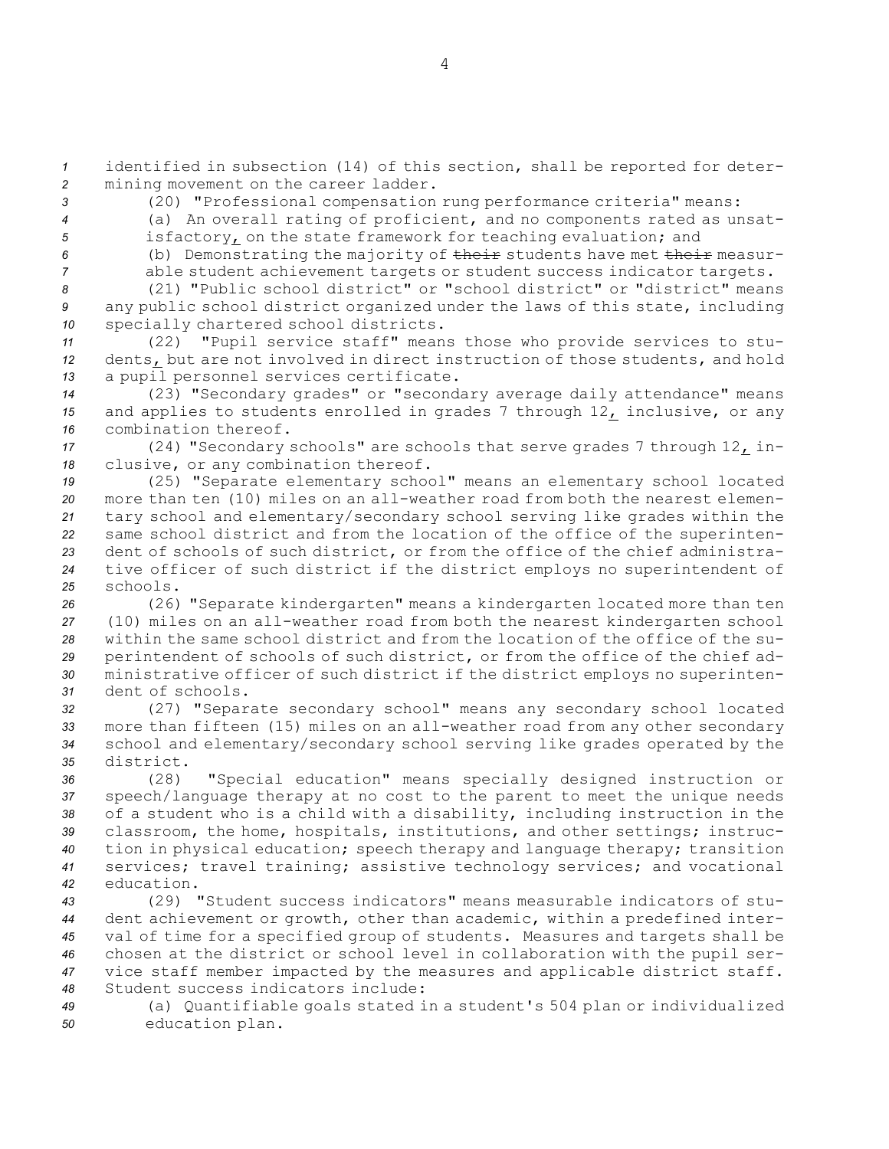*<sup>1</sup>* identified in subsection (14) of this section, shall be reported for deter-*<sup>2</sup>* mining movement on the career ladder.

*<sup>3</sup>* (20) "Professional compensation rung performance criteria" means:

*<sup>4</sup>* (a) An overall rating of proficient, and no components rated as unsat-

*<sup>5</sup>* isfactory, on the state framework for teaching evaluation; and

*<sup>6</sup>* (b) Demonstrating the majority of their students have met their measur-*<sup>7</sup>* able student achievement targets or student success indicator targets.

*8* (21) "Public school district" or "school district" or "district" means *<sup>9</sup>* any public school district organized under the laws of this state, including *<sup>10</sup>* specially chartered school districts.

*<sup>11</sup>* (22) "Pupil service staff" means those who provide services to stu-*<sup>12</sup>* dents, but are not involved in direct instruction of those students, and hold *<sup>13</sup>* <sup>a</sup> pupil personnel services certificate.

*<sup>14</sup>* (23) "Secondary grades" or "secondary average daily attendance" means *<sup>15</sup>* and applies to students enrolled in grades 7 through 12, inclusive, or any *16* combination thereof.

*<sup>17</sup>* (24) "Secondary schools" are schools that serve grades 7 through 12, in-*<sup>18</sup>* clusive, or any combination thereof.

 (25) "Separate elementary school" means an elementary school located more than ten (10) miles on an all-weather road from both the nearest elemen- tary school and elementary/secondary school serving like grades within the same school district and from the location of the office of the superinten- dent of schools of such district, or from the office of the chief administra- tive officer of such district if the district employs no superintendent of *25* schools.

 (26) "Separate kindergarten" means <sup>a</sup> kindergarten located more than ten (10) miles on an all-weather road from both the nearest kindergarten school within the same school district and from the location of the office of the su- perintendent of schools of such district, or from the office of the chief ad- ministrative officer of such district if the district employs no superinten-dent of schools.

 (27) "Separate secondary school" means any secondary school located more than fifteen (15) miles on an all-weather road from any other secondary school and elementary/secondary school serving like grades operated by the district.

 (28) "Special education" means specially designed instruction or speech/language therapy at no cost to the parent to meet the unique needs of <sup>a</sup> student who is <sup>a</sup> child with <sup>a</sup> disability, including instruction in the classroom, the home, hospitals, institutions, and other settings; instruc- tion in physical education; speech therapy and language therapy; transition services; travel training; assistive technology services; and vocational education.

 (29) "Student success indicators" means measurable indicators of stu- dent achievement or growth, other than academic, within <sup>a</sup> predefined inter- val of time for <sup>a</sup> specified group of students. Measures and targets shall be chosen at the district or school level in collaboration with the pupil ser- vice staff member impacted by the measures and applicable district staff. Student success indicators include:

*<sup>49</sup>* (a) Quantifiable goals stated in <sup>a</sup> student's 504 plan or individualized *<sup>50</sup>* education plan.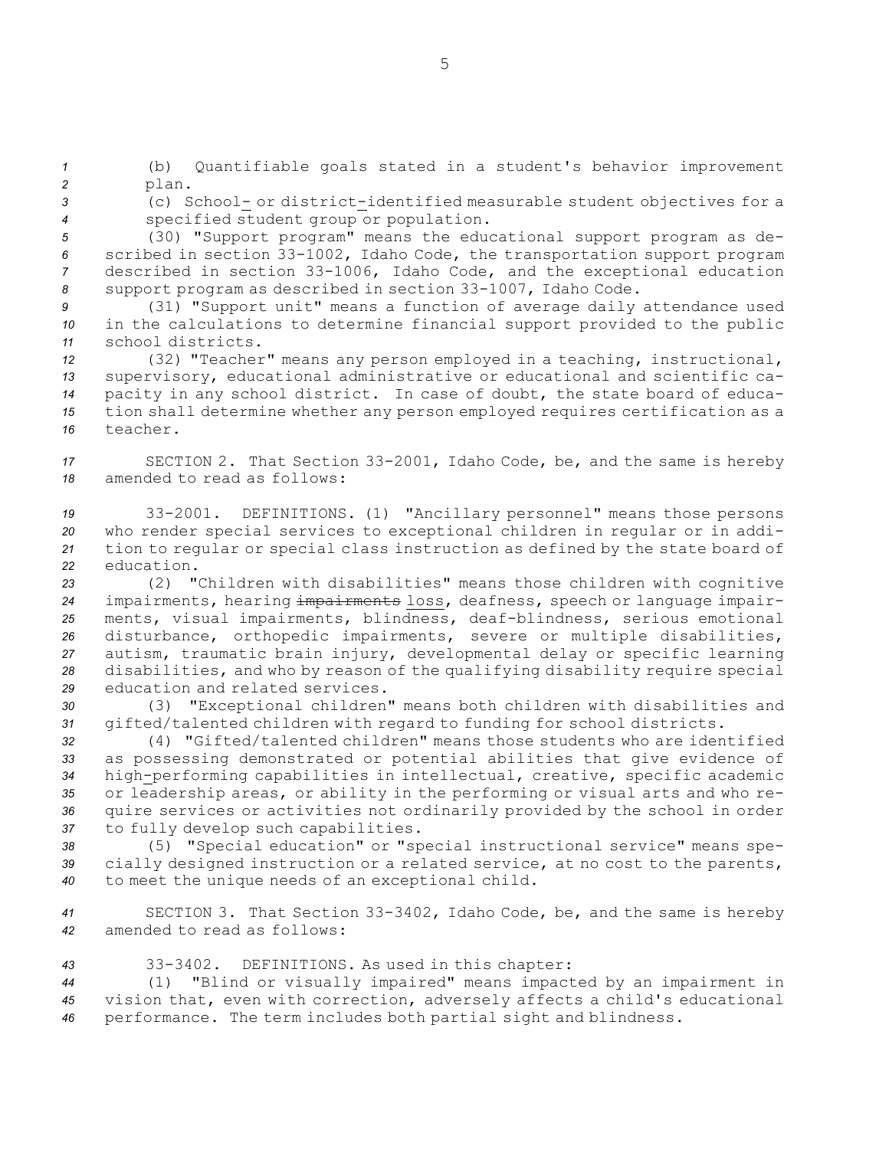*<sup>1</sup>* (b) Quantifiable goals stated in <sup>a</sup> student's behavior improvement *<sup>2</sup>* plan.

*<sup>3</sup>* (c) School- or district-identified measurable student objectives for <sup>a</sup> *<sup>4</sup>* specified student group or population.

 (30) "Support program" means the educational support program as de- scribed in section 33-1002, Idaho Code, the transportation support program described in section 33-1006, Idaho Code, and the exceptional education support program as described in section 33-1007, Idaho Code.

*<sup>9</sup>* (31) "Support unit" means <sup>a</sup> function of average daily attendance used *<sup>10</sup>* in the calculations to determine financial support provided to the public *11* school districts.

 (32) "Teacher" means any person employed in <sup>a</sup> teaching, instructional, supervisory, educational administrative or educational and scientific ca- pacity in any school district. In case of doubt, the state board of educa- tion shall determine whether any person employed requires certification as <sup>a</sup> *16* teacher.

*<sup>17</sup>* SECTION 2. That Section 33-2001, Idaho Code, be, and the same is hereby *18* amended to read as follows:

 33-2001. DEFINITIONS. (1) "Ancillary personnel" means those persons who render special services to exceptional children in regular or in addi- tion to regular or special class instruction as defined by the state board of education.

 (2) "Children with disabilities" means those children with cognitive impairments, hearing impairments loss, deafness, speech or language impair- ments, visual impairments, blindness, deaf-blindness, serious emotional disturbance, orthopedic impairments, severe or multiple disabilities, autism, traumatic brain injury, developmental delay or specific learning disabilities, and who by reason of the qualifying disability require special education and related services.

*<sup>30</sup>* (3) "Exceptional children" means both children with disabilities and *<sup>31</sup>* gifted/talented children with regard to funding for school districts.

 (4) "Gifted/talented children" means those students who are identified as possessing demonstrated or potential abilities that give evidence of high-performing capabilities in intellectual, creative, specific academic or leadership areas, or ability in the performing or visual arts and who re- quire services or activities not ordinarily provided by the school in order to fully develop such capabilities.

*<sup>38</sup>* (5) "Special education" or "special instructional service" means spe-*<sup>39</sup>* cially designed instruction or <sup>a</sup> related service, at no cost to the parents, *<sup>40</sup>* to meet the unique needs of an exceptional child.

*<sup>41</sup>* SECTION 3. That Section 33-3402, Idaho Code, be, and the same is hereby *42* amended to read as follows:

*<sup>43</sup>* 33-3402. DEFINITIONS. As used in this chapter:

*<sup>44</sup>* (1) "Blind or visually impaired" means impacted by an impairment in *<sup>45</sup>* vision that, even with correction, adversely affects <sup>a</sup> child's educational *<sup>46</sup>* performance. The term includes both partial sight and blindness.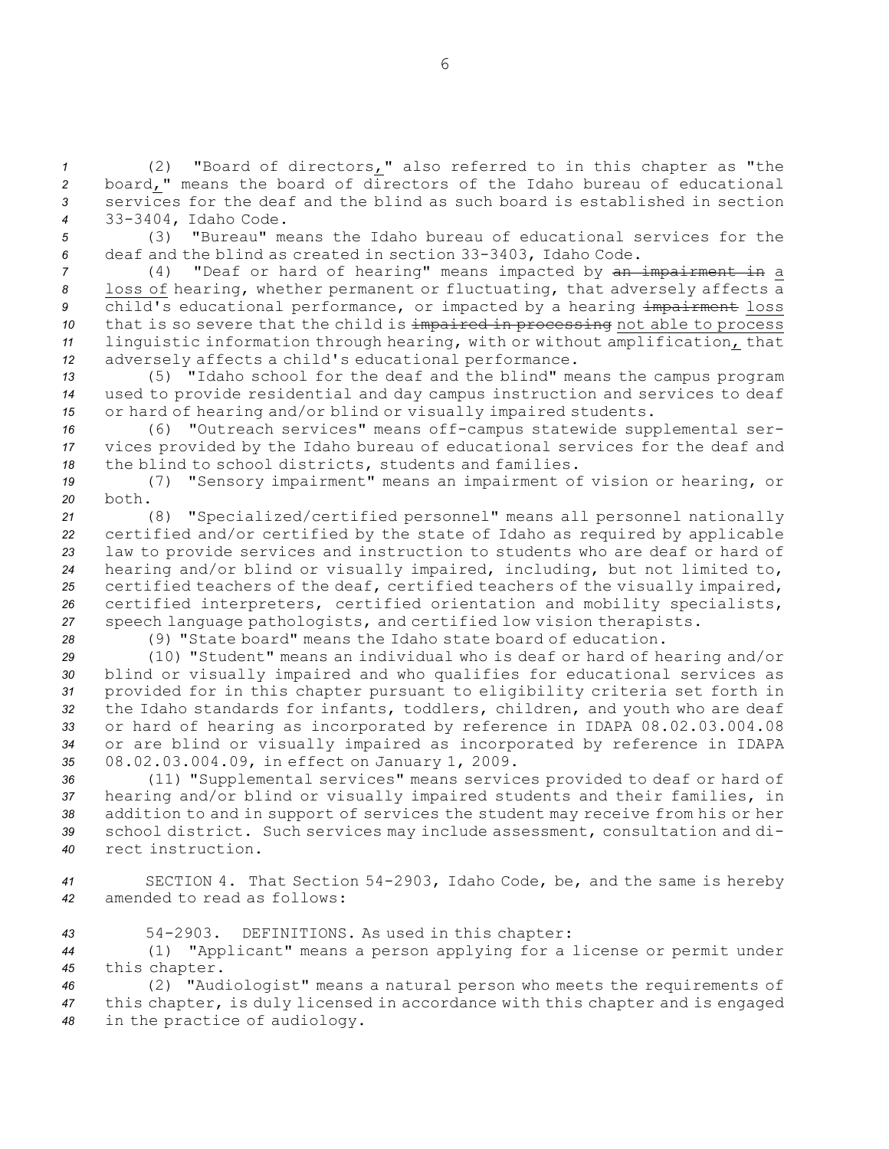(2) "Board of directors," also referred to in this chapter as "the board," means the board of directors of the Idaho bureau of educational services for the deaf and the blind as such board is established in section 33-3404, Idaho Code.

*<sup>5</sup>* (3) "Bureau" means the Idaho bureau of educational services for the *<sup>6</sup>* deaf and the blind as created in section 33-3403, Idaho Code.

 (4) "Deaf or hard of hearing" means impacted by an impairment in <sup>a</sup> loss of hearing, whether permanent or fluctuating, that adversely affects <sup>a</sup> 9 child's educational performance, or impacted by a hearing impairment loss that is so severe that the child is impaired in processing not able to process linguistic information through hearing, with or without amplification, that adversely affects <sup>a</sup> child's educational performance.

*<sup>13</sup>* (5) "Idaho school for the deaf and the blind" means the campus program *<sup>14</sup>* used to provide residential and day campus instruction and services to deaf *<sup>15</sup>* or hard of hearing and/or blind or visually impaired students.

*<sup>16</sup>* (6) "Outreach services" means off-campus statewide supplemental ser-*<sup>17</sup>* vices provided by the Idaho bureau of educational services for the deaf and *<sup>18</sup>* the blind to school districts, students and families.

*<sup>19</sup>* (7) "Sensory impairment" means an impairment of vision or hearing, or *20* both.

 (8) "Specialized/certified personnel" means all personnel nationally certified and/or certified by the state of Idaho as required by applicable law to provide services and instruction to students who are deaf or hard of hearing and/or blind or visually impaired, including, but not limited to, certified teachers of the deaf, certified teachers of the visually impaired, certified interpreters, certified orientation and mobility specialists, speech language pathologists, and certified low vision therapists.

*28* (9) "State board" means the Idaho state board of education.

 (10) "Student" means an individual who is deaf or hard of hearing and/or blind or visually impaired and who qualifies for educational services as provided for in this chapter pursuant to eligibility criteria set forth in the Idaho standards for infants, toddlers, children, and youth who are deaf or hard of hearing as incorporated by reference in IDAPA 08.02.03.004.08 or are blind or visually impaired as incorporated by reference in IDAPA 08.02.03.004.09, in effect on January 1, 2009.

 (11) "Supplemental services" means services provided to deaf or hard of hearing and/or blind or visually impaired students and their families, in addition to and in support of services the student may receive from his or her school district. Such services may include assessment, consultation and di-rect instruction.

*<sup>41</sup>* SECTION 4. That Section 54-2903, Idaho Code, be, and the same is hereby *42* amended to read as follows:

*<sup>43</sup>* 54-2903. DEFINITIONS. As used in this chapter:

*<sup>44</sup>* (1) "Applicant" means <sup>a</sup> person applying for <sup>a</sup> license or permit under *<sup>45</sup>* this chapter.

*<sup>46</sup>* (2) "Audiologist" means <sup>a</sup> natural person who meets the requirements of *<sup>47</sup>* this chapter, is duly licensed in accordance with this chapter and is engaged *<sup>48</sup>* in the practice of audiology.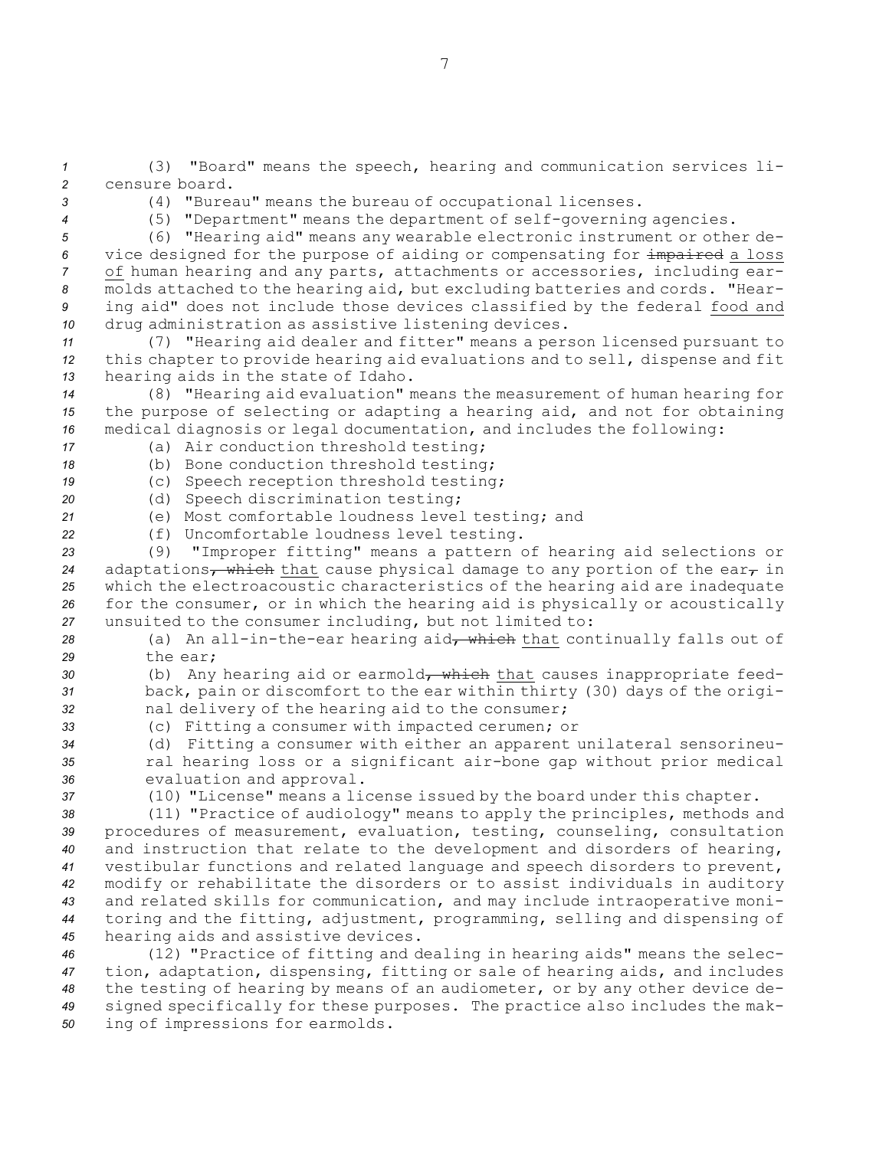(3) "Board" means the speech, hearing and communication services li- censure board. (4) "Bureau" means the bureau of occupational licenses. (5) "Department" means the department of self-governing agencies. (6) "Hearing aid" means any wearable electronic instrument or other de- vice designed for the purpose of aiding or compensating for impaired <sup>a</sup> loss of human hearing and any parts, attachments or accessories, including ear- molds attached to the hearing aid, but excluding batteries and cords. "Hear- ing aid" does not include those devices classified by the federal food and drug administration as assistive listening devices. (7) "Hearing aid dealer and fitter" means <sup>a</sup> person licensed pursuant to this chapter to provide hearing aid evaluations and to sell, dispense and fit hearing aids in the state of Idaho. (8) "Hearing aid evaluation" means the measurement of human hearing for the purpose of selecting or adapting <sup>a</sup> hearing aid, and not for obtaining medical diagnosis or legal documentation, and includes the following: (a) Air conduction threshold testing; (b) Bone conduction threshold testing; (c) Speech reception threshold testing; (d) Speech discrimination testing; (e) Most comfortable loudness level testing; and (f) Uncomfortable loudness level testing. (9) "Improper fitting" means <sup>a</sup> pattern of hearing aid selections or 24 adaptations, which that cause physical damage to any portion of the ear, in which the electroacoustic characteristics of the hearing aid are inadequate for the consumer, or in which the hearing aid is physically or acoustically unsuited to the consumer including, but not limited to: 28 (a) An all-in-the-ear hearing aid<sub>r</sub> which that continually falls out of *29* the ear; 30 (b) Any hearing aid or earmold<del>, which</del> that causes inappropriate feed- back, pain or discomfort to the ear within thirty (30) days of the origi- nal delivery of the hearing aid to the consumer; (c) Fitting <sup>a</sup> consumer with impacted cerumen; or (d) Fitting <sup>a</sup> consumer with either an apparent unilateral sensorineu- ral hearing loss or <sup>a</sup> significant air-bone gap without prior medical evaluation and approval. (10) "License" means <sup>a</sup> license issued by the board under this chapter. (11) "Practice of audiology" means to apply the principles, methods and procedures of measurement, evaluation, testing, counseling, consultation and instruction that relate to the development and disorders of hearing, vestibular functions and related language and speech disorders to prevent, modify or rehabilitate the disorders or to assist individuals in auditory and related skills for communication, and may include intraoperative moni- toring and the fitting, adjustment, programming, selling and dispensing of hearing aids and assistive devices. (12) "Practice of fitting and dealing in hearing aids" means the selec- tion, adaptation, dispensing, fitting or sale of hearing aids, and includes the testing of hearing by means of an audiometer, or by any other device de- signed specifically for these purposes. The practice also includes the mak-ing of impressions for earmolds.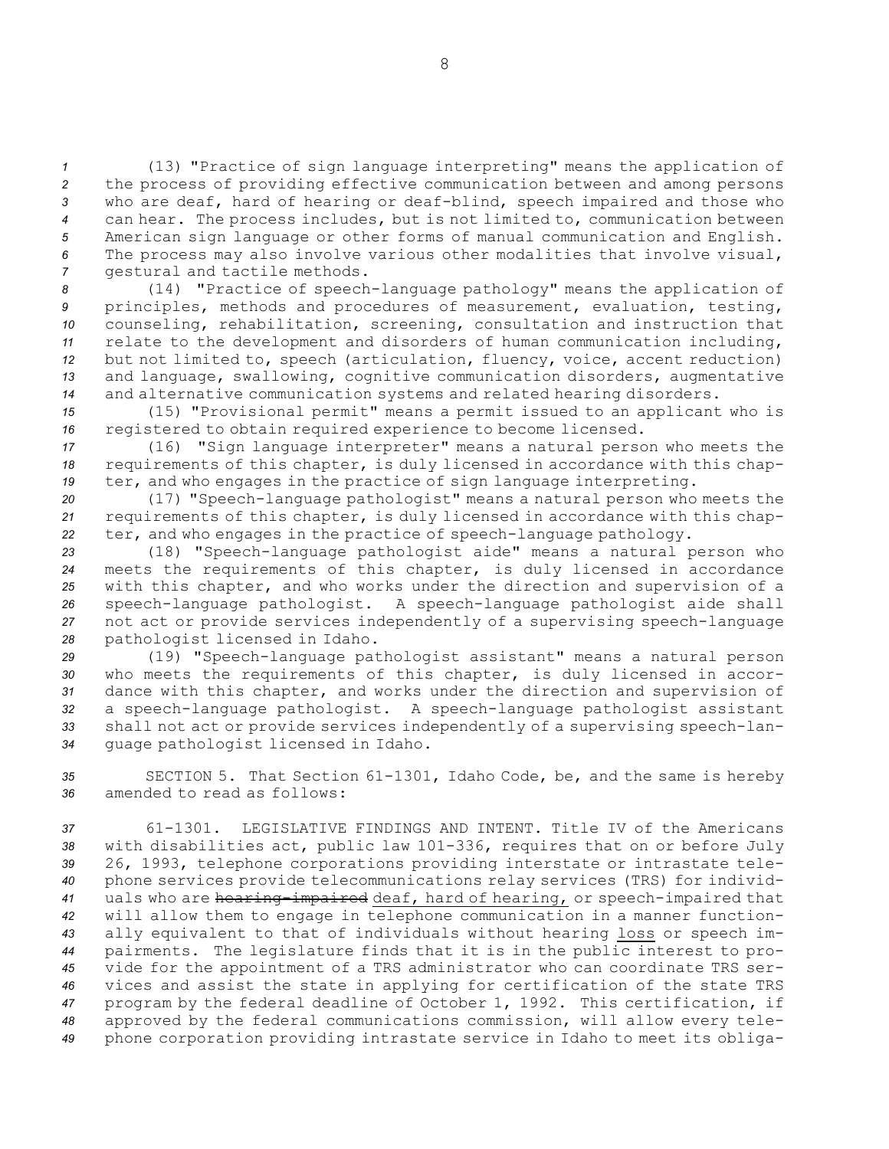(13) "Practice of sign language interpreting" means the application of the process of providing effective communication between and among persons who are deaf, hard of hearing or deaf-blind, speech impaired and those who can hear. The process includes, but is not limited to, communication between American sign language or other forms of manual communication and English. The process may also involve various other modalities that involve visual, gestural and tactile methods.

 (14) "Practice of speech-language pathology" means the application of principles, methods and procedures of measurement, evaluation, testing, counseling, rehabilitation, screening, consultation and instruction that relate to the development and disorders of human communication including, but not limited to, speech (articulation, fluency, voice, accent reduction) and language, swallowing, cognitive communication disorders, augmentative and alternative communication systems and related hearing disorders.

*<sup>15</sup>* (15) "Provisional permit" means <sup>a</sup> permit issued to an applicant who is *<sup>16</sup>* registered to obtain required experience to become licensed.

*<sup>17</sup>* (16) "Sign language interpreter" means <sup>a</sup> natural person who meets the *<sup>18</sup>* requirements of this chapter, is duly licensed in accordance with this chap-*<sup>19</sup>* ter, and who engages in the practice of sign language interpreting.

*<sup>20</sup>* (17) "Speech-language pathologist" means <sup>a</sup> natural person who meets the *<sup>21</sup>* requirements of this chapter, is duly licensed in accordance with this chap-*<sup>22</sup>* ter, and who engages in the practice of speech-language pathology.

 (18) "Speech-language pathologist aide" means <sup>a</sup> natural person who meets the requirements of this chapter, is duly licensed in accordance with this chapter, and who works under the direction and supervision of <sup>a</sup> speech-language pathologist. <sup>A</sup> speech-language pathologist aide shall not act or provide services independently of <sup>a</sup> supervising speech-language pathologist licensed in Idaho.

 (19) "Speech-language pathologist assistant" means <sup>a</sup> natural person who meets the requirements of this chapter, is duly licensed in accor- dance with this chapter, and works under the direction and supervision of <sup>a</sup> speech-language pathologist. <sup>A</sup> speech-language pathologist assistant shall not act or provide services independently of <sup>a</sup> supervising speech-lan-guage pathologist licensed in Idaho.

*<sup>35</sup>* SECTION 5. That Section 61-1301, Idaho Code, be, and the same is hereby *36* amended to read as follows:

 61-1301. LEGISLATIVE FINDINGS AND INTENT. Title IV of the Americans with disabilities act, public law 101-336, requires that on or before July 26, 1993, telephone corporations providing interstate or intrastate tele- phone services provide telecommunications relay services (TRS) for individ- uals who are hearing-impaired deaf, hard of hearing, or speech-impaired that will allow them to engage in telephone communication in <sup>a</sup> manner function- ally equivalent to that of individuals without hearing loss or speech im- pairments. The legislature finds that it is in the public interest to pro- vide for the appointment of <sup>a</sup> TRS administrator who can coordinate TRS ser- vices and assist the state in applying for certification of the state TRS program by the federal deadline of October 1, 1992. This certification, if approved by the federal communications commission, will allow every tele-phone corporation providing intrastate service in Idaho to meet its obliga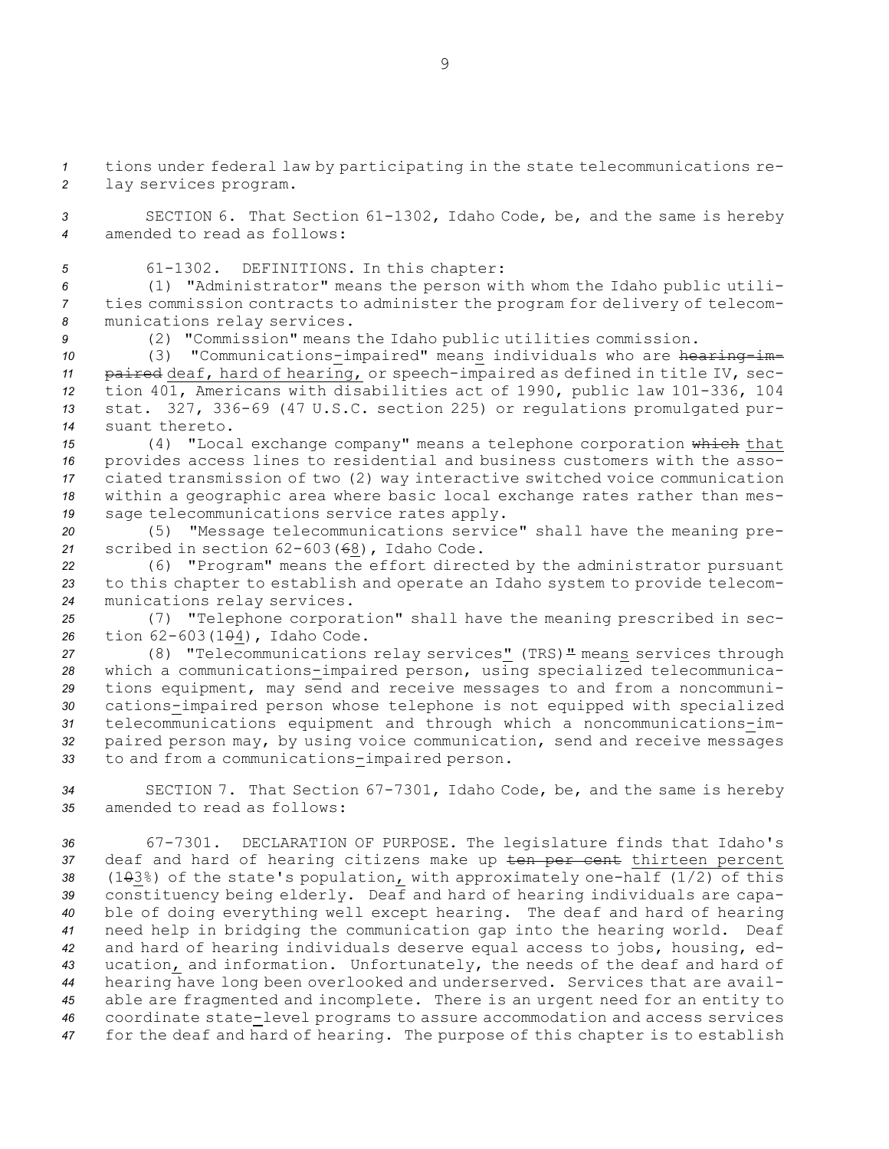*<sup>1</sup>* tions under federal law by participating in the state telecommunications re-*<sup>2</sup>* lay services program.

*<sup>3</sup>* SECTION 6. That Section 61-1302, Idaho Code, be, and the same is hereby *4* amended to read as follows:

*<sup>5</sup>* 61-1302. DEFINITIONS. In this chapter:

*<sup>6</sup>* (1) "Administrator" means the person with whom the Idaho public utili-*<sup>7</sup>* ties commission contracts to administer the program for delivery of telecom-*<sup>8</sup>* munications relay services.

*<sup>9</sup>* (2) "Commission" means the Idaho public utilities commission.

10 (3) "Communications-impaired" means individuals who are hearing-im- paired deaf, hard of hearing, or speech-impaired as defined in title IV, sec- tion 401, Americans with disabilities act of 1990, public law 101-336, 104 stat. 327, 336-69 (47 U.S.C. section 225) or regulations promulgated pur-suant thereto.

 (4) "Local exchange company" means <sup>a</sup> telephone corporation which that provides access lines to residential and business customers with the asso- ciated transmission of two (2) way interactive switched voice communication within <sup>a</sup> geographic area where basic local exchange rates rather than mes-sage telecommunications service rates apply.

*<sup>20</sup>* (5) "Message telecommunications service" shall have the meaning pre-*<sup>21</sup>* scribed in section 62-603(68), Idaho Code.

*<sup>22</sup>* (6) "Program" means the effort directed by the administrator pursuant *<sup>23</sup>* to this chapter to establish and operate an Idaho system to provide telecom-*<sup>24</sup>* munications relay services.

*<sup>25</sup>* (7) "Telephone corporation" shall have the meaning prescribed in sec-26 tion 62-603(1<del>0</del>4), Idaho Code.

 (8) "Telecommunications relay services" (TRS)" means services through which <sup>a</sup> communications-impaired person, using specialized telecommunica- tions equipment, may send and receive messages to and from <sup>a</sup> noncommuni- cations-impaired person whose telephone is not equipped with specialized telecommunications equipment and through which <sup>a</sup> noncommunications-im- paired person may, by using voice communication, send and receive messages to and from <sup>a</sup> communications-impaired person.

*<sup>34</sup>* SECTION 7. That Section 67-7301, Idaho Code, be, and the same is hereby *35* amended to read as follows:

 67-7301. DECLARATION OF PURPOSE. The legislature finds that Idaho's deaf and hard of hearing citizens make up ten per cent thirteen percent 38 (103%) of the state's population, with approximately one-half (1/2) of this constituency being elderly. Deaf and hard of hearing individuals are capa- ble of doing everything well except hearing. The deaf and hard of hearing need help in bridging the communication gap into the hearing world. Deaf and hard of hearing individuals deserve equal access to jobs, housing, ed- ucation, and information. Unfortunately, the needs of the deaf and hard of hearing have long been overlooked and underserved. Services that are avail- able are fragmented and incomplete. There is an urgent need for an entity to coordinate state-level programs to assure accommodation and access services for the deaf and hard of hearing. The purpose of this chapter is to establish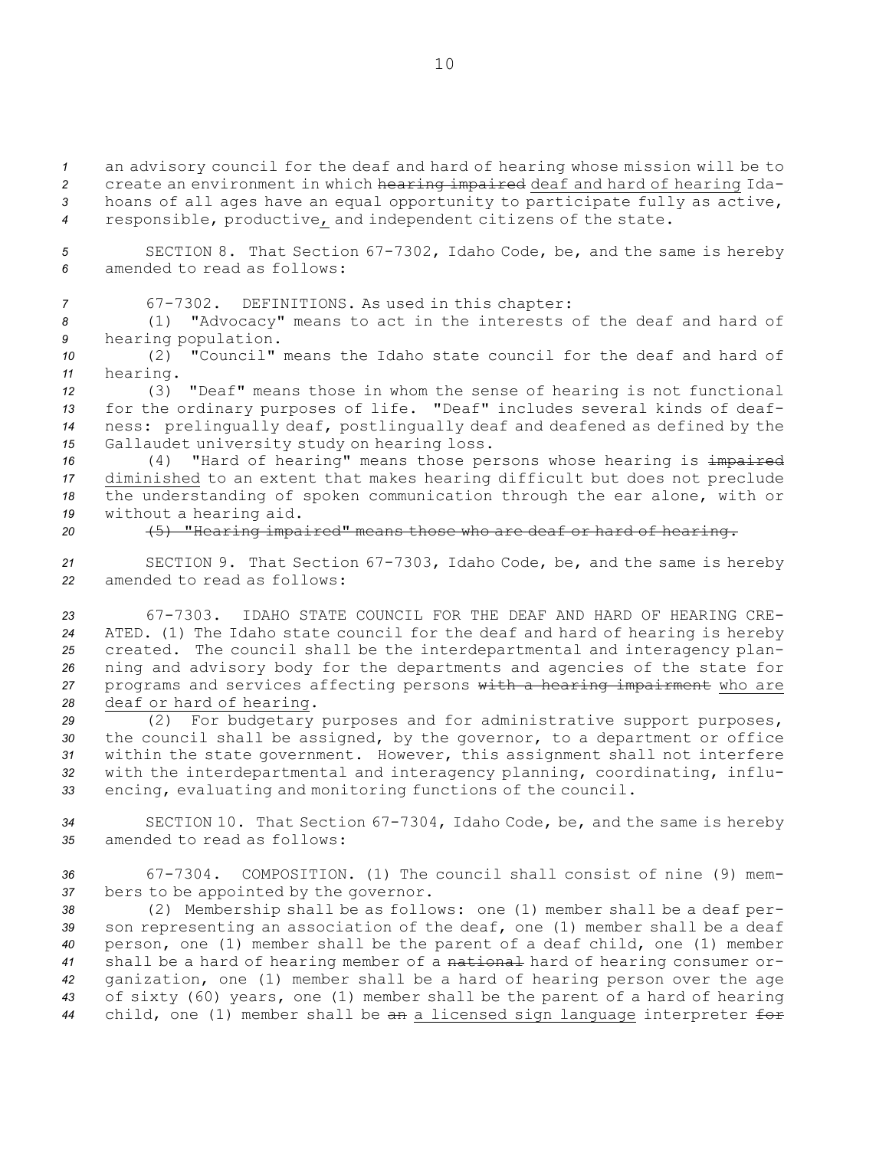an advisory council for the deaf and hard of hearing whose mission will be to create an environment in which hearing impaired deaf and hard of hearing Ida- hoans of all ages have an equal opportunity to participate fully as active, responsible, productive, and independent citizens of the state.

*<sup>5</sup>* SECTION 8. That Section 67-7302, Idaho Code, be, and the same is hereby *6* amended to read as follows:

*<sup>7</sup>* 67-7302. DEFINITIONS. As used in this chapter:

*<sup>8</sup>* (1) "Advocacy" means to act in the interests of the deaf and hard of *<sup>9</sup>* hearing population.

*10* (2) "Council" means the Idaho state council for the deaf and hard of *<sup>11</sup>* hearing.

 (3) "Deaf" means those in whom the sense of hearing is not functional for the ordinary purposes of life. "Deaf" includes several kinds of deaf- ness: prelingually deaf, postlingually deaf and deafened as defined by the Gallaudet university study on hearing loss.

16 (4) "Hard of hearing" means those persons whose hearing is impaired diminished to an extent that makes hearing difficult but does not preclude the understanding of spoken communication through the ear alone, with or without <sup>a</sup> hearing aid.

*<sup>20</sup>* (5) "Hearing impaired" means those who are deaf or hard of hearing.

*<sup>21</sup>* SECTION 9. That Section 67-7303, Idaho Code, be, and the same is hereby *22* amended to read as follows:

 67-7303. IDAHO STATE COUNCIL FOR THE DEAF AND HARD OF HEARING CRE- ATED. (1) The Idaho state council for the deaf and hard of hearing is hereby created. The council shall be the interdepartmental and interagency plan- ning and advisory body for the departments and agencies of the state for programs and services affecting persons with <sup>a</sup> hearing impairment who are deaf or hard of hearing.

 (2) For budgetary purposes and for administrative support purposes, the council shall be assigned, by the governor, to <sup>a</sup> department or office within the state government. However, this assignment shall not interfere with the interdepartmental and interagency planning, coordinating, influ-encing, evaluating and monitoring functions of the council.

*<sup>34</sup>* SECTION 10. That Section 67-7304, Idaho Code, be, and the same is hereby *35* amended to read as follows:

*36* 67-7304. COMPOSITION. (1) The council shall consist of nine (9) mem-*<sup>37</sup>* bers to be appointed by the governor.

 (2) Membership shall be as follows: one (1) member shall be <sup>a</sup> deaf per- son representing an association of the deaf, one (1) member shall be <sup>a</sup> deaf person, one (1) member shall be the parent of <sup>a</sup> deaf child, one (1) member shall be <sup>a</sup> hard of hearing member of <sup>a</sup> national hard of hearing consumer or- ganization, one (1) member shall be <sup>a</sup> hard of hearing person over the age of sixty (60) years, one (1) member shall be the parent of <sup>a</sup> hard of hearing child, one (1) member shall be an <sup>a</sup> licensed sign language interpreter for